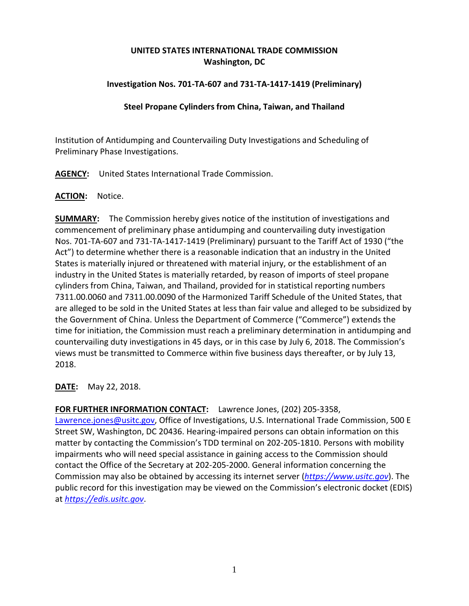# **UNITED STATES INTERNATIONAL TRADE COMMISSION Washington, DC**

### **Investigation Nos. 701-TA-607 and 731-TA-1417-1419 (Preliminary)**

### **Steel Propane Cylinders from China, Taiwan, and Thailand**

Institution of Antidumping and Countervailing Duty Investigations and Scheduling of Preliminary Phase Investigations.

**AGENCY:** United States International Trade Commission.

#### **ACTION:** Notice.

**SUMMARY:** The Commission hereby gives notice of the institution of investigations and commencement of preliminary phase antidumping and countervailing duty investigation Nos. 701-TA-607 and 731-TA-1417-1419 (Preliminary) pursuant to the Tariff Act of 1930 ("the Act") to determine whether there is a reasonable indication that an industry in the United States is materially injured or threatened with material injury, or the establishment of an industry in the United States is materially retarded, by reason of imports of steel propane cylinders from China, Taiwan, and Thailand, provided for in statistical reporting numbers 7311.00.0060 and 7311.00.0090 of the Harmonized Tariff Schedule of the United States, that are alleged to be sold in the United States at less than fair value and alleged to be subsidized by the Government of China. Unless the Department of Commerce ("Commerce") extends the time for initiation, the Commission must reach a preliminary determination in antidumping and countervailing duty investigations in 45 days, or in this case by July 6, 2018. The Commission's views must be transmitted to Commerce within five business days thereafter, or by July 13, 2018.

**DATE:** May 22, 2018.

## **FOR FURTHER INFORMATION CONTACT:** Lawrence Jones, (202) 205-3358,

[Lawrence.jones@usitc.gov,](mailto:Lawrence.jones@usitc.gov) Office of Investigations, U.S. International Trade Commission, 500 E Street SW, Washington, DC 20436. Hearing-impaired persons can obtain information on this matter by contacting the Commission's TDD terminal on 202-205-1810. Persons with mobility impairments who will need special assistance in gaining access to the Commission should contact the Office of the Secretary at 202-205-2000. General information concerning the Commission may also be obtained by accessing its internet server (*[https://www.usitc.gov](https://www.usitc.gov/)*). The public record for this investigation may be viewed on the Commission's electronic docket (EDIS) at *[https://edis.usitc.gov](https://edis.usitc.gov/)*.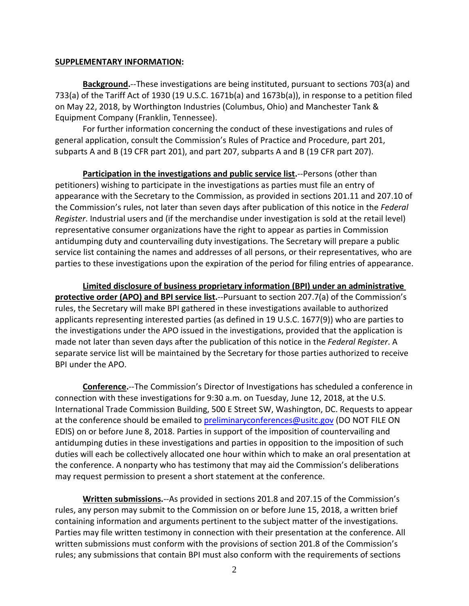#### **SUPPLEMENTARY INFORMATION:**

**Background.**--These investigations are being instituted, pursuant to sections 703(a) and 733(a) of the Tariff Act of 1930 (19 U.S.C. 1671b(a) and 1673b(a)), in response to a petition filed on May 22, 2018, by Worthington Industries (Columbus, Ohio) and Manchester Tank & Equipment Company (Franklin, Tennessee).

For further information concerning the conduct of these investigations and rules of general application, consult the Commission's Rules of Practice and Procedure, part 201, subparts A and B (19 CFR part 201), and part 207, subparts A and B (19 CFR part 207).

**Participation in the investigations and public service list.**--Persons (other than petitioners) wishing to participate in the investigations as parties must file an entry of appearance with the Secretary to the Commission, as provided in sections 201.11 and 207.10 of the Commission's rules, not later than seven days after publication of this notice in the *Federal Register*. Industrial users and (if the merchandise under investigation is sold at the retail level) representative consumer organizations have the right to appear as parties in Commission antidumping duty and countervailing duty investigations. The Secretary will prepare a public service list containing the names and addresses of all persons, or their representatives, who are parties to these investigations upon the expiration of the period for filing entries of appearance.

**Limited disclosure of business proprietary information (BPI) under an administrative protective order (APO) and BPI service list.**--Pursuant to section 207.7(a) of the Commission's rules, the Secretary will make BPI gathered in these investigations available to authorized applicants representing interested parties (as defined in 19 U.S.C. 1677(9)) who are parties to the investigations under the APO issued in the investigations, provided that the application is made not later than seven days after the publication of this notice in the *Federal Register*. A separate service list will be maintained by the Secretary for those parties authorized to receive BPI under the APO.

**Conference.**--The Commission's Director of Investigations has scheduled a conference in connection with these investigations for 9:30 a.m. on Tuesday, June 12, 2018, at the U.S. International Trade Commission Building, 500 E Street SW, Washington, DC. Requests to appear at the conference should be emailed to [preliminaryconferences@usitc.gov](mailto:preliminaryconferences@usitc.gov) (DO NOT FILE ON EDIS) on or before June 8, 2018. Parties in support of the imposition of countervailing and antidumping duties in these investigations and parties in opposition to the imposition of such duties will each be collectively allocated one hour within which to make an oral presentation at the conference. A nonparty who has testimony that may aid the Commission's deliberations may request permission to present a short statement at the conference.

**Written submissions.**--As provided in sections 201.8 and 207.15 of the Commission's rules, any person may submit to the Commission on or before June 15, 2018, a written brief containing information and arguments pertinent to the subject matter of the investigations. Parties may file written testimony in connection with their presentation at the conference. All written submissions must conform with the provisions of section 201.8 of the Commission's rules; any submissions that contain BPI must also conform with the requirements of sections